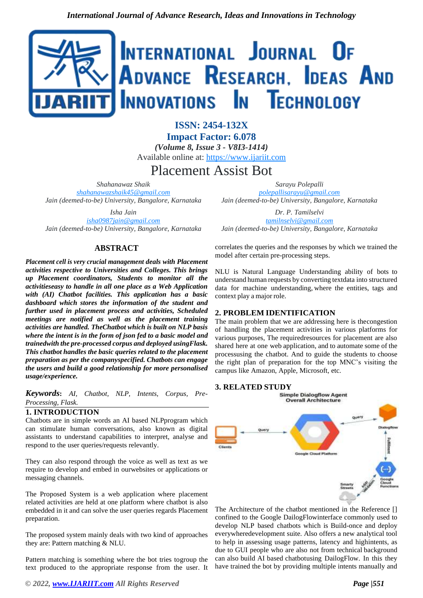

**ISSN: 2454-132X Impact Factor: 6.078** *(Volume 8, Issue 3 - V8I3-1414)* Available online at: [https://www.ijariit.com](https://www.ijariit.com/?utm_source=pdf&utm_medium=edition&utm_campaign=OmAkSols&utm_term=V8I3-1414)

Placement Assist Bot

*Shahanawaz Shaik [shahanawazshaik45@gmail.com](mailto:shahanawazshaik45@gmail.com) Jain (deemed-to-be) University, Bangalore, Karnataka*

*Isha Jain [isha0987jain@gmail.com](mailto:isha0987jain@gmail.com) Jain (deemed-to-be) University, Bangalore, Karnataka*

# **ABSTRACT**

*Placement cell is very crucial management deals with Placement activities respective to Universities and Colleges. This brings up Placement coordinators, Students to monitor all the activitieseasy to handle in all one place as a Web Application with (AI) Chatbot facilities. This application has a basic dashboard which stores the information of the student and further used in placement process and activities, Scheduled meetings are notified as well as the placement training activities are handled. TheChatbot which is built on NLP basis where the intent is in the form of json fed to a basic model and trainedwith the pre-processed corpus and deployed usingFlask. This chatbot handles the basic queries related to the placement preparation as per the companyspecified. Chatbots can engage the users and build a good relationship for more personalised usage/experience.*

*Keywords***:** *AI, Chatbot, NLP, Intents, Corpus, Pre-Processing, Flask.*

## **1. INTRODUCTION**

Chatbots are in simple words an AI based NLPprogram which can stimulate human conversations, also known as digital assistants to understand capabilities to interpret, analyse and respond to the user queries/requests relevantly.

They can also respond through the voice as well as text as we require to develop and embed in ourwebsites or applications or messaging channels.

The Proposed System is a web application where placement related activities are held at one platform where chatbot is also embedded in it and can solve the user queries regards Placement preparation.

The proposed system mainly deals with two kind of approaches they are: Pattern matching & NLU.

Pattern matching is something where the bot tries togroup the text produced to the appropriate response from the user. It

*Sarayu Polepalli [polepallisarayu@gmail.com](mailto:polepallisarayu@gmail.com) Jain (deemed-to-be) University, Bangalore, Karnataka*

*Dr. P. Tamilselvi [tamilnselvi@gmail.com](mailto:tamilnselvi@gmail.com) Jain (deemed-to-be) University, Bangalore, Karnataka*

correlates the queries and the responses by which we trained the model after certain pre-processing steps.

NLU is Natural Language Understanding ability of bots to understand human requests by converting textdata into structured data for machine understanding, where the entities, tags and context play a major role.

# **2. PROBLEM IDENTIFICATION**

The main problem that we are addressing here is thecongestion of handling the placement activities in various platforms for various purposes, The requiredresources for placement are also shared here at one web application, and to automate some of the processusing the chatbot. And to guide the students to choose the right plan of preparation for the top MNC's visiting the campus like Amazon, Apple, Microsoft, etc.



The Architecture of the chatbot mentioned in the Reference [] confined to the Google DailogFlowinterface commonly used to develop NLP based chatbots which is Build-once and deploy everywheredevelopment suite. Also offers a new analytical tool to help in assessing usage patterns, latency and highintents, as due to GUI people who are also not from technical background can also build AI based chatbotusing DailogFlow. In this they have trained the bot by providing multiple intents manually and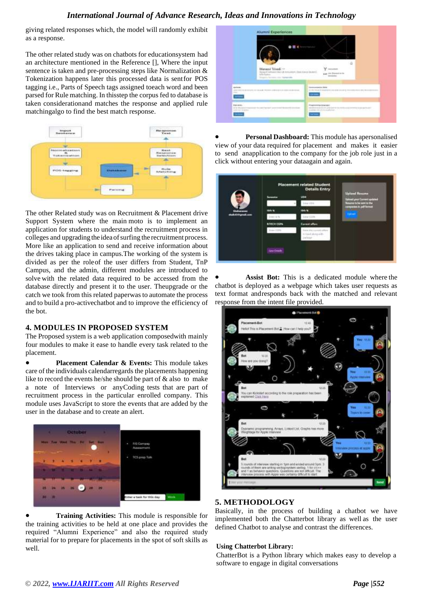# *International Journal of Advance Research, Ideas and Innovations in Technology*

giving related responses which, the model will randomly exhibit as a response.

The other related study was on chatbots for educationsystem had an architecture mentioned in the Reference [], Where the input sentence is taken and pre-processing steps like Normalization & Tokenization happens later this processed data is sentfor POS tagging i.e., Parts of Speech tags assigned toeach word and been parsed for Rule matching. In thisstep the corpus fed to database is taken considerationand matches the response and applied rule matchingalgo to find the best match response.



The other Related study was on Recruitment & Placement drive Support System where the main moto is to implement an application for students to understand the recruitment process in colleges and upgrading the idea of surfing the recruitment process. More like an application to send and receive information about the drives taking place in campus.The working of the system is divided as per the roleof the user differs from Student, TnP Campus, and the admin, different modules are introduced to solve with the related data required to be accessed from the database directly and present it to the user. Theupgrade or the catch we took from this related paperwas to automate the process and to build a pro-activechatbot and to improve the efficiency of the bot.

## **4. MODULES IN PROPOSED SYSTEM**

The Proposed system is a web application composedwith mainly four modules to make it ease to handle every task related to the placement.

• **Placement Calendar & Events:** This module takes care of the individuals calendarregards the placements happening like to record the events he/she should be part of & also to make a note of Interviews or anyCoding tests that are part of recruitment process in the particular enrolled company. This module uses JavaScript to store the events that are added by the user in the database and to create an alert.



• **Training Activities:** This module is responsible for the training activities to be held at one place and provides the required "Alumni Experience" and also the required study material for to prepare for placements in the spot of soft skills as well.

|                                           |                                                                        |                                                         |                                                                                  | ۵ |  |
|-------------------------------------------|------------------------------------------------------------------------|---------------------------------------------------------|----------------------------------------------------------------------------------|---|--|
|                                           | Manasvi Trivedi 10<br>14Th Future<br>Triggers, Several Life, Tarms and | Assure Chass rates in mousing (East East East & Britis) | $Y = -1$<br>page 19th Strength Avilla<br>$C = 100000$                            |   |  |
| since.<br>AND THEFT IS OF RELEASE BY<br>- |                                                                        | $-22.4$<br><b>ALLINESS</b>                              | <b><i><u>SEREGARE AND</u></i></b><br>A 1944 West Product Edit and Art Annual St. |   |  |
|                                           |                                                                        |                                                         | $-$                                                                              |   |  |
|                                           |                                                                        |                                                         |                                                                                  |   |  |

• **Personal Dashboard:** This module has apersonalised view of your data required for placement and makes it easier to send anapplication to the company for the job role just in a click without entering your dataagain and again.

|                    |                                                                                                                                                                                                                                                                                                                                                                                              | <b>Placement related Student</b><br><b>Details Entry</b> |                                                                                                  |
|--------------------|----------------------------------------------------------------------------------------------------------------------------------------------------------------------------------------------------------------------------------------------------------------------------------------------------------------------------------------------------------------------------------------------|----------------------------------------------------------|--------------------------------------------------------------------------------------------------|
|                    | Severator                                                                                                                                                                                                                                                                                                                                                                                    | <b>USH</b><br>Aur Liting                                 | <b>Uployd Finance</b><br>planed group Commercia and bad<br><b>Newcome the five services that</b> |
| <b>Indurance</b>   | 10th W.                                                                                                                                                                                                                                                                                                                                                                                      | <b>1945 W</b>                                            | composites in Juli Screen<br><b>There</b>                                                        |
| shah 43-ingmel.com | $-22$<br><b>BRECH COPA</b>                                                                                                                                                                                                                                                                                                                                                                   | ex con<br><b>Carnet offers</b>                           |                                                                                                  |
|                    | $\frac{1}{2} \left( \frac{1}{2} \frac{1}{2} \frac{1}{2} \frac{1}{2} \frac{1}{2} \frac{1}{2} \frac{1}{2} \frac{1}{2} \frac{1}{2} \frac{1}{2} \frac{1}{2} \frac{1}{2} \frac{1}{2} \frac{1}{2} \frac{1}{2} \frac{1}{2} \frac{1}{2} \frac{1}{2} \frac{1}{2} \frac{1}{2} \frac{1}{2} \frac{1}{2} \frac{1}{2} \frac{1}{2} \frac{1}{2} \frac{1}{2} \frac{1}{2} \frac{1}{2} \frac{1}{2} \frac{1}{2}$ | Christi allona and<br><b>ACCAL</b>                       |                                                                                                  |
|                    | <b>Tarry Details</b>                                                                                                                                                                                                                                                                                                                                                                         |                                                          |                                                                                                  |

Assist Bot: This is a dedicated module where the chatbot is deployed as a webpage which takes user requests as text format andresponds back with the matched and relevant response from the intent file provided.



# **5. METHODOLOGY**

Basically, in the process of building a chatbot we have implemented both the Chatterbot library as well as the user defined Chatbot to analyse and contrast the differences.

### **Using Chatterbot Library:**

ChatterBot is a Python library which makes easy to develop a software to engage in digital conversations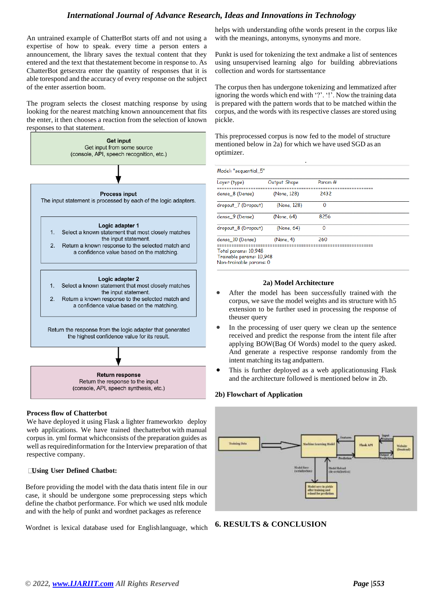# *International Journal of Advance Research, Ideas and Innovations in Technology*

An untrained example of ChatterBot starts off and not using a expertise of how to speak. every time a person enters a announcement, the library saves the textual content that they entered and the text that thestatement become in response to. As ChatterBot getsextra enter the quantity of responses that it is able torespond and the accuracy of every response on the subject of the enter assertion boom.

The program selects the closest matching response by using looking for the nearest matching known announcement that fits the enter, it then chooses a reaction from the selection of known responses to that statement.



## **Process flow of Chatterbot**

We have deployed it using Flask a lighter frameworkto deploy web applications. We have trained thechatterbot with manual corpus in. yml format whichconsists of the preparation guides as well as required information for the Interview preparation of that respective company.

### **Using User Defined Chatbot:**

Before providing the model with the data thatis intent file in our case, it should be undergone some preprocessing steps which define the chatbot performance. For which we used nltk module and with the help of punkt and wordnet packages as reference

Wordnet is lexical database used for Englishlanguage, which

helps with understanding ofthe words present in the corpus like with the meanings, antonyms, synonyms and more.

Punkt is used for tokenizing the text andmake a list of sentences using unsupervised learning algo for building abbreviations collection and words for startssentance

The corpus then has undergone tokenizing and lemmatized after ignoring the words which end with '?'. '!'. Now the training data is prepared with the pattern words that to be matched within the corpus, and the words with its respective classes are stored using pickle.

This preprocessed corpus is now fed to the model of structure mentioned below in 2a) for which we have used SGD as an optimizer.

.

| Layer (type)        | Output Shape | Param <sub>#</sub> |  |
|---------------------|--------------|--------------------|--|
| dense 8 (Dense)     | (None, 128)  | 2432               |  |
| dropout_7 (Dropout) | (None, 128)  | 0                  |  |
| dense 9 (Dense)     | (None, 64)   | 8256               |  |
| dropout_8 (Dropout) | (None, 64)   | 0                  |  |
| dense 10 (Dense)    | (None, 4)    | 260                |  |

### **2a) Model Architecture**

- After the model has been successfully trained with the corpus, we save the model weights and its structure with h5 extension to be further used in processing the response of theuser query
- In the processing of user query we clean up the sentence received and predict the response from the intent file after applying BOW(Bag Of Words) model to the query asked. And generate a respective response randomly from the intent matching its tag andpattern.
- This is further deployed as a web applicationusing Flask and the architecture followed is mentioned below in 2b.

### **2b) Flowchart of Application**



## **6. RESULTS & CONCLUSION**